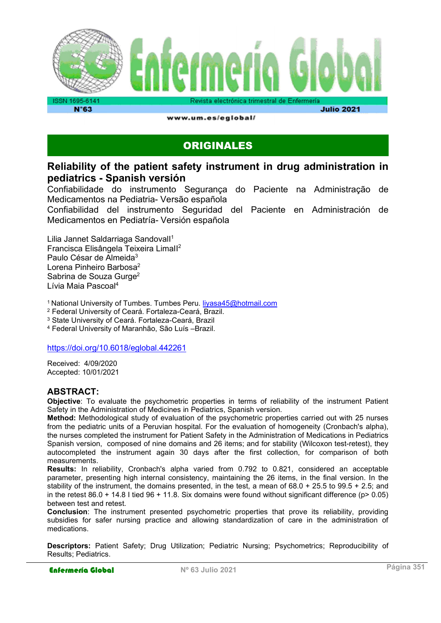

www.um.es/eglobal/

**Julio 2021** 

# ORIGINALES

#### Reliability of the patient safety instrument in drug administration in pediatrics - Spanish versión

Confiabilidade do instrumento Segurança do Paciente na Administração de Medicamentos na Pediatria- Versão española

Confiabilidad del instrumento Seguridad del Paciente en Administración de Medicamentos en Pediatría- Versión española

Lilia Jannet Saldarriaga Sandovall<sup>1</sup> Francisca Elisângela Teixeira LimaII<sup>2</sup> Paulo César de Almeida<sup>3</sup> Lorena Pinheiro Barbosa<sup>2</sup> Sabrina de Souza Gurge<sup>2</sup> Lívia Maia Pascoal<sup>4</sup>

<sup>1</sup> National University of Tumbes. Tumbes Peru. livasa45@hotmail.com

2 Federal University of Ceará. Fortaleza-Ceará, Brazil.

3 State University of Ceará. Fortaleza-Ceará, Brazil

4 Federal University of Maranhão, São Luís –Brazil.

https://doi.org/10.6018/eglobal.442261

Received: 4/09/2020 Accepted: 10/01/2021

#### ABSTRACT:

Objective: To evaluate the psychometric properties in terms of reliability of the instrument Patient Safety in the Administration of Medicines in Pediatrics, Spanish version.

Method: Methodological study of evaluation of the psychometric properties carried out with 25 nurses from the pediatric units of a Peruvian hospital. For the evaluation of homogeneity (Cronbach's alpha), the nurses completed the instrument for Patient Safety in the Administration of Medications in Pediatrics Spanish version, composed of nine domains and 26 items; and for stability (Wilcoxon test-retest), they autocompleted the instrument again 30 days after the first collection, for comparison of both measurements.

Results: In reliability, Cronbach's alpha varied from 0.792 to 0.821, considered an acceptable parameter, presenting high internal consistency, maintaining the 26 items, in the final version. In the stability of the instrument, the domains presented, in the test, a mean of  $68.0 + 25.5$  to  $99.5 + 2.5$ ; and in the retest  $86.0 + 14.8$  I tied  $96 + 11.8$ . Six domains were found without significant difference ( $p > 0.05$ ) between test and retest.

Conclusion: The instrument presented psychometric properties that prove its reliability, providing subsidies for safer nursing practice and allowing standardization of care in the administration of medications.

Descriptors: Patient Safety; Drug Utilization; Pediatric Nursing; Psychometrics; Reproducibility of Results; Pediatrics.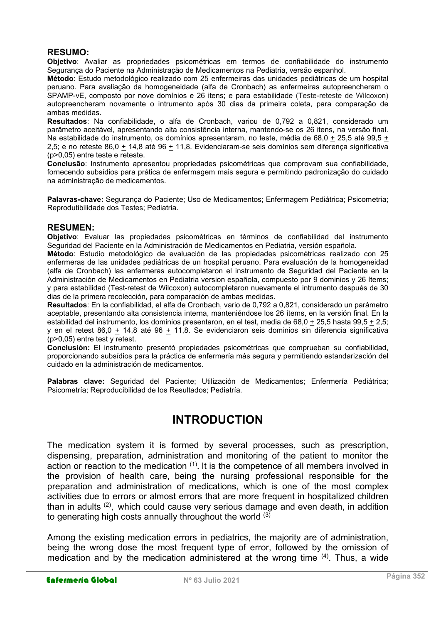#### RESUMO:

Objetivo: Avaliar as propriedades psicométricas em termos de confiabilidade do instrumento Segurança do Paciente na Administração de Medicamentos na Pediatria, versão espanhol.

Método: Estudo metodológico realizado com 25 enfermeiras das unidades pediátricas de um hospital peruano. Para avaliação da homogeneidade (alfa de Cronbach) as enfermeiras autopreencheram o SPAMP-vE, composto por nove domínios e 26 itens; e para estabilidade (Teste-reteste de Wilcoxon) autopreencheram novamente o intrumento após 30 dias da primeira coleta, para comparação de ambas medidas.

Resultados: Na confiabilidade, o alfa de Cronbach, variou de 0,792 a 0,821, considerado um parâmetro aceitável, apresentando alta consistência interna, mantendo-se os 26 itens, na versão final. Na estabilidade do instrumento, os domínios apresentaram, no teste, média de 68,0 + 25,5 até 99,5 + 2,5; e no reteste 86,0 + 14,8 até 96 + 11,8. Evidenciaram-se seis domínios sem diferença significativa (p>0,05) entre teste e reteste.

Conclusão: Instrumento apresentou propriedades psicométricas que comprovam sua confiabilidade, fornecendo subsídios para prática de enfermagem mais segura e permitindo padronização do cuidado na administração de medicamentos.

Palavras-chave: Segurança do Paciente: Uso de Medicamentos: Enfermagem Pediátrica: Psicometria: Reprodutibilidade dos Testes; Pediatria.

#### RESUMEN:

Objetivo: Evaluar las propiedades psicométricas en términos de confiabilidad del instrumento Seguridad del Paciente en la Administración de Medicamentos en Pediatria, versión española.

Método: Estudio metodológico de evaluación de las propiedades psicométricas realizado con 25 enfermeras de las unidades pediátricas de un hospital peruano. Para evaluación de la homogeneidad (alfa de Cronbach) las enfermeras autocompletaron el instrumento de Seguridad del Paciente en la Administración de Medicamentos en Pediatria version española, compuesto por 9 dominios y 26 ítems; y para estabilidad (Test-retest de Wilcoxon) autocompletaron nuevamente el intrumento después de 30 dias de la primera recolección, para comparación de ambas medidas.

Resultados: En la confiabilidad, el alfa de Cronbach, vario de 0,792 a 0,821, considerado un parámetro aceptable, presentando alta consistencia interna, manteniéndose los 26 ítems, en la versión final. En la estabilidad del instrumento, los dominios presentaron, en el test, media de 68,0 + 25,5 hasta 99,5 + 2,5; y en el retest 86,0 + 14,8 até 96 + 11,8. Se evidenciaron seis dominios sin diferencia significativa (p>0,05) entre test y retest.

Conclusión: El instrumento presentó propiedades psicométricas que comprueban su confiabilidad, proporcionando subsídios para la práctica de enfermería más segura y permitiendo estandarización del cuidado en la administración de medicamentos.

Palabras clave: Seguridad del Paciente; Utilización de Medicamentos; Enfermería Pediátrica; Psicometría; Reproducibilidad de los Resultados; Pediatría.

# INTRODUCTION

The medication system it is formed by several processes, such as prescription, dispensing, preparation, administration and monitoring of the patient to monitor the action or reaction to the medication <sup>(1)</sup>. It is the competence of all members involved in the provision of health care, being the nursing professional responsible for the preparation and administration of medications, which is one of the most complex activities due to errors or almost errors that are more frequent in hospitalized children than in adults  $^{(2)}$ , which could cause very serious damage and even death, in addition to generating high costs annually throughout the world  $(3)$ 

Among the existing medication errors in pediatrics, the majority are of administration, being the wrong dose the most frequent type of error, followed by the omission of medication and by the medication administered at the wrong time (4). Thus, a wide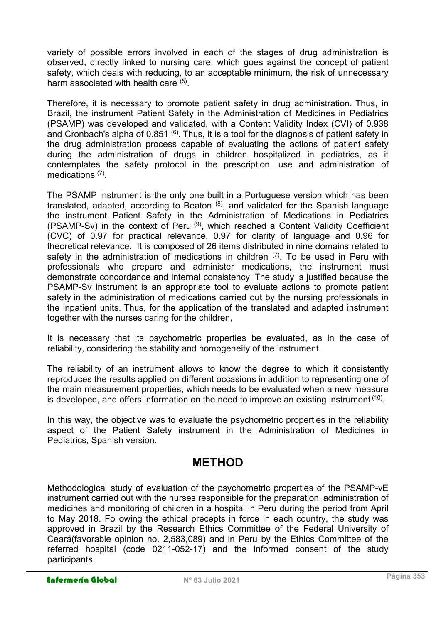variety of possible errors involved in each of the stages of drug administration is observed, directly linked to nursing care, which goes against the concept of patient safety, which deals with reducing, to an acceptable minimum, the risk of unnecessary harm associated with health care <sup>(5)</sup>.

Therefore, it is necessary to promote patient safety in drug administration. Thus, in Brazil, the instrument Patient Safety in the Administration of Medicines in Pediatrics (PSAMP) was developed and validated, with a Content Validity Index (CVI) of 0.938 and Cronbach's alpha of 0.851  $\,^{(6)}$ . Thus, it is a tool for the diagnosis of patient safety in the drug administration process capable of evaluating the actions of patient safety during the administration of drugs in children hospitalized in pediatrics, as it contemplates the safety protocol in the prescription, use and administration of medications (7) .

The PSAMP instrument is the only one built in a Portuguese version which has been translated, adapted, according to Beaton  $(8)$ , and validated for the Spanish language the instrument Patient Safety in the Administration of Medications in Pediatrics (PSAMP-Sv) in the context of Peru  $(9)$ , which reached a Content Validity Coefficient (CVC) of 0.97 for practical relevance, 0.97 for clarity of language and 0.96 for theoretical relevance. It is composed of 26 items distributed in nine domains related to safety in the administration of medications in children  $(7)$ . To be used in Peru with professionals who prepare and administer medications, the instrument must demonstrate concordance and internal consistency. The study is justified because the PSAMP-Sv instrument is an appropriate tool to evaluate actions to promote patient safety in the administration of medications carried out by the nursing professionals in the inpatient units. Thus, for the application of the translated and adapted instrument together with the nurses caring for the children,

It is necessary that its psychometric properties be evaluated, as in the case of reliability, considering the stability and homogeneity of the instrument.

The reliability of an instrument allows to know the degree to which it consistently reproduces the results applied on different occasions in addition to representing one of the main measurement properties, which needs to be evaluated when a new measure is developed, and offers information on the need to improve an existing instrument  $^{\left(10\right)}$ .

In this way, the objective was to evaluate the psychometric properties in the reliability aspect of the Patient Safety instrument in the Administration of Medicines in Pediatrics, Spanish version.

# METHOD

Methodological study of evaluation of the psychometric properties of the PSAMP-vE instrument carried out with the nurses responsible for the preparation, administration of medicines and monitoring of children in a hospital in Peru during the period from April to May 2018. Following the ethical precepts in force in each country, the study was approved in Brazil by the Research Ethics Committee of the Federal University of Ceará(favorable opinion no. 2,583,089) and in Peru by the Ethics Committee of the referred hospital (code 0211-052-17) and the informed consent of the study participants.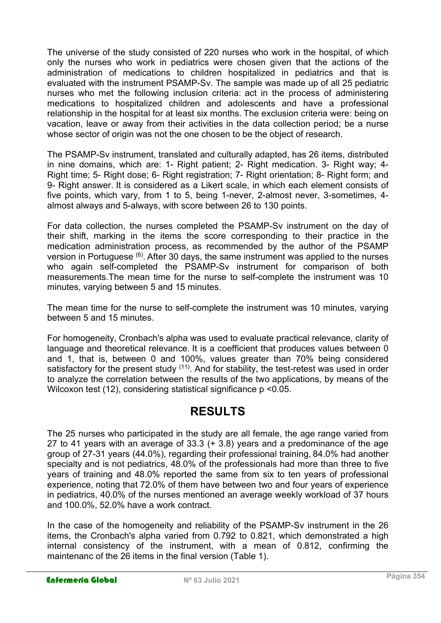The universe of the study consisted of 220 nurses who work in the hospital, of which only the nurses who work in pediatrics were chosen given that the actions of the administration of medications to children hospitalized in pediatrics and that is evaluated with the instrument PSAMP-Sv. The sample was made up of all 25 pediatric nurses who met the following inclusion criteria: act in the process of administering medications to hospitalized children and adolescents and have a professional relationship in the hospital for at least six months. The exclusion criteria were: being on vacation, leave or away from their activities in the data collection period; be a nurse whose sector of origin was not the one chosen to be the object of research.

The PSAMP-Sv instrument, translated and culturally adapted, has 26 items, distributed in nine domains, which are: 1- Right patient; 2- Right medication. 3- Right way; 4- Right time; 5- Right dose; 6- Right registration; 7- Right orientation; 8- Right form; and 9- Right answer. It is considered as a Likert scale, in which each element consists of five points, which vary, from 1 to 5, being 1-never, 2-almost never, 3-sometimes, 4 almost always and 5-always, with score between 26 to 130 points.

For data collection, the nurses completed the PSAMP-Sv instrument on the day of their shift, marking in the items the score corresponding to their practice in the medication administration process, as recommended by the author of the PSAMP version in Portuguese  $^{(6)}$ . After 30 days, the same instrument was applied to the nurses who again self-completed the PSAMP-Sv instrument for comparison of both measurements.The mean time for the nurse to self-complete the instrument was 10 minutes, varying between 5 and 15 minutes.

The mean time for the nurse to self-complete the instrument was 10 minutes, varying between 5 and 15 minutes.

For homogeneity, Cronbach's alpha was used to evaluate practical relevance, clarity of language and theoretical relevance. It is a coefficient that produces values between 0 and 1, that is, between 0 and 100%, values greater than 70% being considered satisfactory for the present study  $(11)$ . And for stability, the test-retest was used in order to analyze the correlation between the results of the two applications, by means of the Wilcoxon test (12), considering statistical significance p <0.05.

# RESULTS

The 25 nurses who participated in the study are all female, the age range varied from 27 to 41 years with an average of 33.3 (+ 3.8) years and a predominance of the age group of 27-31 years (44.0%), regarding their professional training, 84.0% had another specialty and is not pediatrics, 48.0% of the professionals had more than three to five years of training and 48.0% reported the same from six to ten years of professional experience, noting that 72.0% of them have between two and four years of experience in pediatrics, 40.0% of the nurses mentioned an average weekly workload of 37 hours and 100.0%, 52.0% have a work contract.

In the case of the homogeneity and reliability of the PSAMP-Sy instrument in the 26 items, the Cronbach's alpha varied from 0.792 to 0.821, which demonstrated a high internal consistency of the instrument, with a mean of 0.812, confirming the maintenanc of the 26 items in the final version (Table 1).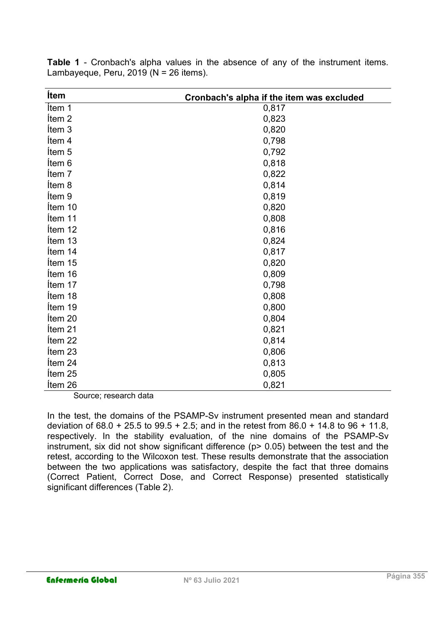| <b>Ítem</b>       | Cronbach's alpha if the item was excluded |  |  |  |  |  |
|-------------------|-------------------------------------------|--|--|--|--|--|
| Ítem 1            | 0,817                                     |  |  |  |  |  |
| Ítem <sub>2</sub> | 0,823                                     |  |  |  |  |  |
| Ítem <sub>3</sub> | 0,820                                     |  |  |  |  |  |
| Ítem 4            | 0,798                                     |  |  |  |  |  |
| Ítem 5            | 0,792                                     |  |  |  |  |  |
| Ítem 6            | 0,818                                     |  |  |  |  |  |
| Item 7            | 0,822                                     |  |  |  |  |  |
| Ítem 8            | 0,814                                     |  |  |  |  |  |
| Item 9            | 0,819                                     |  |  |  |  |  |
| Ítem 10           | 0,820                                     |  |  |  |  |  |
| Item 11           | 0,808                                     |  |  |  |  |  |
| Ítem 12           | 0,816                                     |  |  |  |  |  |
| Ítem 13           | 0,824                                     |  |  |  |  |  |
| Ítem 14           | 0,817                                     |  |  |  |  |  |
| Ítem 15           | 0,820                                     |  |  |  |  |  |
| Ítem 16           | 0,809                                     |  |  |  |  |  |
| Ítem 17           | 0,798                                     |  |  |  |  |  |
| Item 18           | 0,808                                     |  |  |  |  |  |
| Ítem 19           | 0,800                                     |  |  |  |  |  |
| Item 20           | 0,804                                     |  |  |  |  |  |
| Ítem 21           | 0,821                                     |  |  |  |  |  |
| Ítem 22           | 0,814                                     |  |  |  |  |  |
| Item 23           | 0,806                                     |  |  |  |  |  |
| Ítem 24           | 0,813                                     |  |  |  |  |  |
| Item 25           | 0,805                                     |  |  |  |  |  |
| Ítem 26           | 0,821                                     |  |  |  |  |  |

Table 1 - Cronbach's alpha values in the absence of any of the instrument items. Lambayeque, Peru,  $2019$  (N =  $26$  items).

Source; research data

In the test, the domains of the PSAMP-Sv instrument presented mean and standard deviation of 68.0 + 25.5 to 99.5 + 2.5; and in the retest from 86.0 + 14.8 to 96 + 11.8, respectively. In the stability evaluation, of the nine domains of the PSAMP-Sv instrument, six did not show significant difference (p> 0.05) between the test and the retest, according to the Wilcoxon test. These results demonstrate that the association between the two applications was satisfactory, despite the fact that three domains (Correct Patient, Correct Dose, and Correct Response) presented statistically significant differences (Table 2).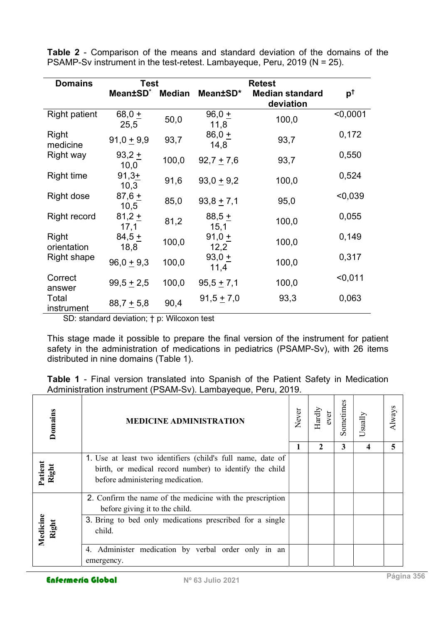| <b>Domains</b>       | <b>Test</b>          |               |                  |                                     |                |
|----------------------|----------------------|---------------|------------------|-------------------------------------|----------------|
|                      | Mean±SD <sup>*</sup> | <b>Median</b> | Mean±SD*         | <b>Median standard</b><br>deviation | p <sup>t</sup> |
| <b>Right patient</b> | 68,0 $+$<br>25,5     | 50,0          | $96,0 +$<br>11,8 | 100,0                               | $0,0001$       |
| Right<br>medicine    | $91,0 + 9,9$         | 93,7          | $86,0+$<br>14,8  | 93,7                                | 0,172          |
| Right way            | $93,2 +$<br>10,0     | 100,0         | $92,7 + 7,6$     | 93,7                                | 0,550          |
| <b>Right time</b>    | $91,3+$<br>10,3      | 91,6          | $93,0 + 9,2$     | 100,0                               | 0,524          |
| Right dose           | $87,6+$<br>10,5      | 85,0          | $93,8 + 7,1$     | 95,0                                | < 0,039        |
| <b>Right record</b>  | $81,2 +$<br>17,1     | 81,2          | $88,5+$<br>15,1  | 100,0                               | 0,055          |
| Right<br>orientation | $84,5+$<br>18,8      | 100,0         | $91,0 +$<br>12,2 | 100,0                               | 0,149          |
| Right shape          | $96,0 + 9,3$         | 100,0         | $93,0 +$<br>11,4 | 100,0                               | 0,317          |
| Correct<br>answer    | $99,5 + 2,5$         | 100,0         | $95,5 + 7,1$     | 100,0                               | $0,011$        |
| Total<br>instrument  | $88,7 + 5,8$         | 90,4          | $91,5 + 7,0$     | 93,3                                | 0,063          |

Table 2 - Comparison of the means and standard deviation of the domains of the PSAMP-Sv instrument in the test-retest. Lambayeque, Peru, 2019 (N = 25).

SD: standard deviation; † p: Wilcoxon test

This stage made it possible to prepare the final version of the instrument for patient safety in the administration of medications in pediatrics (PSAMP-Sv), with 26 items distributed in nine domains (Table 1).

Table 1 - Final version translated into Spanish of the Patient Safety in Medication Administration instrument (PSAM-Sv). Lambayeque, Peru, 2019.

| Domains           | <b>MEDICINE ADMINISTRATION</b>                                                                                                                                                                                                            | Never | Hardly<br>ever | Sometimes<br>3 | Usually | ω<br>Always<br>5 |  |
|-------------------|-------------------------------------------------------------------------------------------------------------------------------------------------------------------------------------------------------------------------------------------|-------|----------------|----------------|---------|------------------|--|
| Patient<br>Right  | 1. Use at least two identifiers (child's full name, date of<br>birth, or medical record number) to identify the child<br>before administering medication.                                                                                 |       |                |                |         |                  |  |
| Medicine<br>Right | 2. Confirm the name of the medicine with the prescription<br>before giving it to the child.<br>3. Bring to bed only medications prescribed for a single<br>child.<br>Administer medication by verbal order only in an<br>4.<br>emergency. |       |                |                |         |                  |  |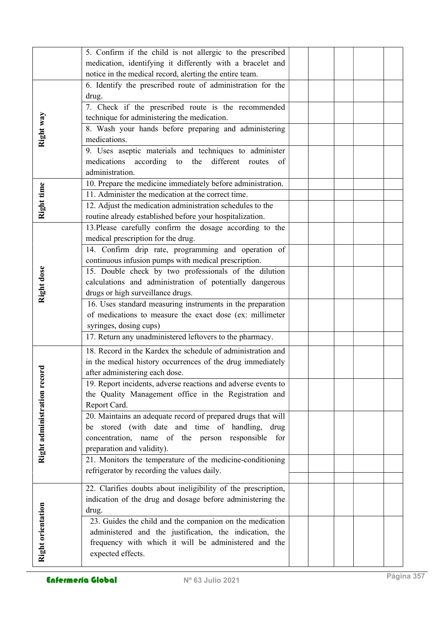|                           | 5. Confirm if the child is not allergic to the prescribed     |  |  |  |
|---------------------------|---------------------------------------------------------------|--|--|--|
|                           | medication, identifying it differently with a bracelet and    |  |  |  |
|                           |                                                               |  |  |  |
|                           | notice in the medical record, alerting the entire team.       |  |  |  |
|                           | 6. Identify the prescribed route of administration for the    |  |  |  |
|                           | drug.                                                         |  |  |  |
|                           | 7. Check if the prescribed route is the recommended           |  |  |  |
|                           | technique for administering the medication.                   |  |  |  |
| Right way                 | 8. Wash your hands before preparing and administering         |  |  |  |
|                           | medications.                                                  |  |  |  |
|                           | 9. Uses aseptic materials and techniques to administer        |  |  |  |
|                           | medications according to the<br>different routes<br>of        |  |  |  |
|                           | administration.                                               |  |  |  |
|                           |                                                               |  |  |  |
| Right time                | 10. Prepare the medicine immediately before administration.   |  |  |  |
|                           | 11. Administer the medication at the correct time.            |  |  |  |
|                           | 12. Adjust the medication administration schedules to the     |  |  |  |
|                           | routine already established before your hospitalization.      |  |  |  |
|                           | 13. Please carefully confirm the dosage according to the      |  |  |  |
|                           | medical prescription for the drug.                            |  |  |  |
|                           | 14. Confirm drip rate, programming and operation of           |  |  |  |
|                           | continuous infusion pumps with medical prescription.          |  |  |  |
|                           | 15. Double check by two professionals of the dilution         |  |  |  |
| Right dose                |                                                               |  |  |  |
|                           | calculations and administration of potentially dangerous      |  |  |  |
|                           | drugs or high surveillance drugs.                             |  |  |  |
|                           | 16. Uses standard measuring instruments in the preparation    |  |  |  |
|                           | of medications to measure the exact dose (ex: millimeter      |  |  |  |
|                           | syringes, dosing cups)                                        |  |  |  |
|                           | 17. Return any unadministered leftovers to the pharmacy.      |  |  |  |
|                           | 18. Record in the Kardex the schedule of administration and   |  |  |  |
|                           | in the medical history occurrences of the drug immediately    |  |  |  |
|                           | after administering each dose.                                |  |  |  |
|                           | 19. Report incidents, adverse reactions and adverse events to |  |  |  |
|                           | the Quality Management office in the Registration and         |  |  |  |
|                           |                                                               |  |  |  |
| Right administration reco | Report Card.                                                  |  |  |  |
|                           | 20. Maintains an adequate record of prepared drugs that will  |  |  |  |
|                           | be stored (with date and time of handling, drug               |  |  |  |
|                           | concentration, name of the person responsible<br>for          |  |  |  |
|                           | preparation and validity).                                    |  |  |  |
|                           | 21. Monitors the temperature of the medicine-conditioning     |  |  |  |
|                           | refrigerator by recording the values daily.                   |  |  |  |
|                           |                                                               |  |  |  |
|                           | 22. Clarifies doubts about ineligibility of the prescription, |  |  |  |
|                           | indication of the drug and dosage before administering the    |  |  |  |
| Right orientation         | drug.                                                         |  |  |  |
|                           | 23. Guides the child and the companion on the medication      |  |  |  |
|                           | administered and the justification, the indication, the       |  |  |  |
|                           | frequency with which it will be administered and the          |  |  |  |
|                           | expected effects.                                             |  |  |  |
|                           |                                                               |  |  |  |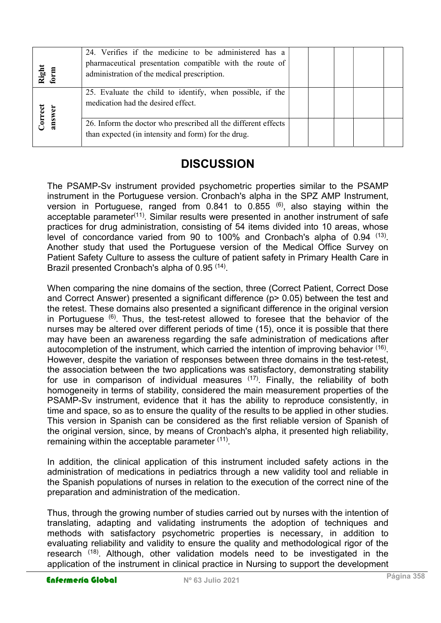| Right<br>form     | 24. Verifies if the medicine to be administered has a<br>pharmaceutical presentation compatible with the route of<br>administration of the medical prescription. |  |  |  |
|-------------------|------------------------------------------------------------------------------------------------------------------------------------------------------------------|--|--|--|
| Correct<br>answer | 25. Evaluate the child to identify, when possible, if the<br>medication had the desired effect.                                                                  |  |  |  |
|                   | 26. Inform the doctor who prescribed all the different effects<br>than expected (in intensity and form) for the drug.                                            |  |  |  |

### **DISCUSSION**

The PSAMP-Sv instrument provided psychometric properties similar to the PSAMP instrument in the Portuguese version. Cronbach's alpha in the SPZ AMP Instrument, version in Portuguese, ranged from  $0.841$  to  $0.855$  <sup>(6)</sup>, also staying within the acceptable parameter<sup>(11)</sup>. Similar results were presented in another instrument of safe practices for drug administration, consisting of 54 items divided into 10 areas, whose level of concordance varied from 90 to 100% and Cronbach's alpha of 0.94 <sup>(13)</sup>. Another study that used the Portuguese version of the Medical Office Survey on Patient Safety Culture to assess the culture of patient safety in Primary Health Care in Brazil presented Cronbach's alpha of 0.95<sup>(14)</sup>.

Enginemental solenoid with the state of the state of the state of the state of the state of the state of the state of the state of the state of the state of the state of the state of the state of the state of the state of When comparing the nine domains of the section, three (Correct Patient, Correct Dose and Correct Answer) presented a significant difference (p> 0.05) between the test and the retest. These domains also presented a significant difference in the original version in Portuguese <sup>(6)</sup>. Thus, the test-retest allowed to foresee that the behavior of the nurses may be altered over different periods of time (15), once it is possible that there may have been an awareness regarding the safe administration of medications after autocompletion of the instrument, which carried the intention of improving behavior <sup>(16)</sup>. However, despite the variation of responses between three domains in the test-retest, the association between the two applications was satisfactory, demonstrating stability for use in comparison of individual measures  $(17)$ . Finally, the reliability of both homogeneity in terms of stability, considered the main measurement properties of the PSAMP-Sv instrument, evidence that it has the ability to reproduce consistently, in time and space, so as to ensure the quality of the results to be applied in other studies. This version in Spanish can be considered as the first reliable version of Spanish of the original version, since, by means of Cronbach's alpha, it presented high reliability, remaining within the acceptable parameter (11).

In addition, the clinical application of this instrument included safety actions in the administration of medications in pediatrics through a new validity tool and reliable in the Spanish populations of nurses in relation to the execution of the correct nine of the preparation and administration of the medication.

Thus, through the growing number of studies carried out by nurses with the intention of translating, adapting and validating instruments the adoption of techniques and methods with satisfactory psychometric properties is necessary, in addition to evaluating reliability and validity to ensure the quality and methodological rigor of the research <sup>(18)</sup>. Although, other validation models need to be investigated in the application of the instrument in clinical practice in Nursing to support the development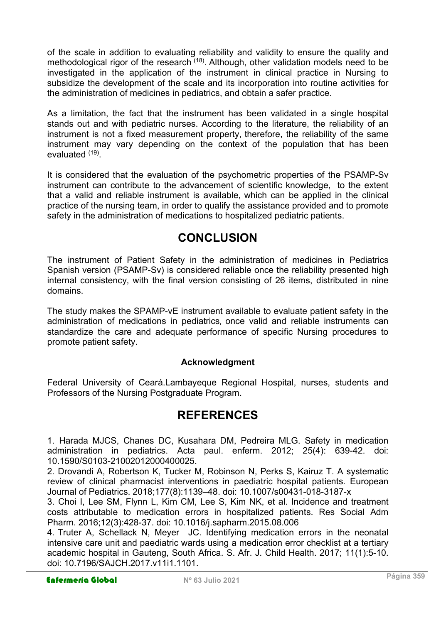of the scale in addition to evaluating reliability and validity to ensure the quality and methodological rigor of the research <sup>(18)</sup>. Although, other validation models need to be investigated in the application of the instrument in clinical practice in Nursing to subsidize the development of the scale and its incorporation into routine activities for the administration of medicines in pediatrics, and obtain a safer practice.

As a limitation, the fact that the instrument has been validated in a single hospital stands out and with pediatric nurses. According to the literature, the reliability of an instrument is not a fixed measurement property, therefore, the reliability of the same instrument may vary depending on the context of the population that has been evaluated <sup>(19)</sup>.

It is considered that the evaluation of the psychometric properties of the PSAMP-Sv instrument can contribute to the advancement of scientific knowledge, to the extent that a valid and reliable instrument is available, which can be applied in the clinical practice of the nursing team, in order to qualify the assistance provided and to promote safety in the administration of medications to hospitalized pediatric patients.

# **CONCLUSION**

The instrument of Patient Safety in the administration of medicines in Pediatrics Spanish version (PSAMP-Sv) is considered reliable once the reliability presented high internal consistency, with the final version consisting of 26 items, distributed in nine domains.

The study makes the SPAMP-vE instrument available to evaluate patient safety in the administration of medications in pediatrics, once valid and reliable instruments can standardize the care and adequate performance of specific Nursing procedures to promote patient safety.

#### Acknowledgment

Federal University of Ceará.Lambayeque Regional Hospital, nurses, students and Professors of the Nursing Postgraduate Program.

### REFERENCES

1. Harada MJCS, Chanes DC, Kusahara DM, Pedreira MLG. Safety in medication administration in pediatrics. Acta paul. enferm. 2012; 25(4): 639-42. doi: 10.1590/S0103-21002012000400025.

2. Drovandi A, Robertson K, Tucker M, Robinson N, Perks S, Kairuz T. A systematic review of clinical pharmacist interventions in paediatric hospital patients. European Journal of Pediatrics. 2018;177(8):1139–48. doi: 10.1007/s00431-018-3187-x

3. Choi I, Lee SM, Flynn L, Kim CM, Lee S, Kim NK, et al. Incidence and treatment costs attributable to medication errors in hospitalized patients. Res Social Adm Pharm. 2016;12(3):428-37. doi: 10.1016/j.sapharm.2015.08.006

4. Truter A, Schellack N, Meyer JC. Identifying medication errors in the neonatal intensive care unit and paediatric wards using a medication error checklist at a tertiary academic hospital in Gauteng, South Africa. S. Afr. J. Child Health. 2017; 11(1):5-10. doi: 10.7196/SAJCH.2017.v11i1.1101.

### Enfermería Global Nº 63 Julio 2021 **Enfermería Global** Página 359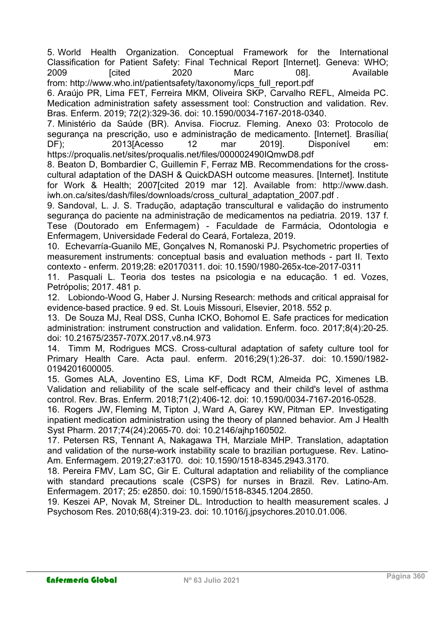5. World Health Organization. Conceptual Framework for the International Classification for Patient Safety: Final Technical Report [Internet]. Geneva: WHO; 2009 [cited 2020 Marc 08]. Available from: http://www.who.int/patientsafety/taxonomy/icps\_full\_report.pdf

6. Araújo PR, Lima FET, Ferreira MKM, Oliveira SKP, Carvalho REFL, Almeida PC. Medication administration safety assessment tool: Construction and validation. Rev. Bras. Enferm. 2019; 72(2):329-36. doi: 10.1590/0034-7167-2018-0340.

7. Ministério da Saúde (BR). Anvisa. Fiocruz. Fleming. Anexo 03: Protocolo de segurança na prescrição, uso e administração de medicamento. [Internet]. Brasília( DF); 2013[Acesso 12 mar 2019]. Disponível em: https://proqualis.net/sites/proqualis.net/files/000002490IQmwD8.pdf

8. Beaton D, Bombardier C, Guillemin F, Ferraz MB. Recommendations for the crosscultural adaptation of the DASH & QuickDASH outcome measures. [Internet]. Institute for Work & Health; 2007[cited 2019 mar 12]. Available from: http://www.dash. iwh.on.ca/sites/dash/files/downloads/cross\_cultural\_adaptation\_2007.pdf.

9. Sandoval, L. J. S. Tradução, adaptação transcultural e validação do instrumento segurança do paciente na administração de medicamentos na pediatria. 2019. 137 f. Tese (Doutorado em Enfermagem) - Faculdade de Farmácia, Odontologia e Enfermagem, Universidade Federal do Ceará, Fortaleza, 2019.

10. Echevarría-Guanilo ME, Gonçalves N, Romanoski PJ. Psychometric properties of measurement instruments: conceptual basis and evaluation methods - part II. Texto contexto - enferm. 2019;28: e20170311. doi: 10.1590/1980-265x-tce-2017-0311

11. Pasquali L. Teoria dos testes na psicologia e na educação. 1 ed. Vozes, Petrópolis; 2017. 481 p.

12. Lobiondo-Wood G, Haber J. Nursing Research: methods and critical appraisal for evidence-based practice. 9 ed. St. Louis Missouri, Elsevier, 2018. 552 p.

13. De Souza MJ, Real DSS, Cunha ICKO, Bohomol E. Safe practices for medication administration: instrument construction and validation. Enferm. foco. 2017;8(4):20-25. doi: 10.21675/2357-707X.2017.v8.n4.973

14. Timm M, Rodrigues MCS. Cross-cultural adaptation of safety culture tool for Primary Health Care. Acta paul. enferm. 2016;29(1):26-37. doi: 10.1590/1982- 0194201600005.

15. Gomes ALA, Joventino ES, Lima KF, Dodt RCM, Almeida PC, Ximenes LB. Validation and reliability of the scale self-efficacy and their child's level of asthma control. Rev. Bras. Enferm. 2018;71(2):406-12. doi: 10.1590/0034-7167-2016-0528.

16. Rogers JW, Fleming M, Tipton J, Ward A, Garey KW, Pitman EP. Investigating inpatient medication administration using the theory of planned behavior. Am J Health Syst Pharm. 2017;74(24):2065-70. doi: 10.2146/ajhp160502.

17. Petersen RS, Tennant A, Nakagawa TH, Marziale MHP. Translation, adaptation and validation of the nurse-work instability scale to brazilian portuguese. Rev. Latino-Am. Enfermagem. 2019;27:e3170. doi: 10.1590/1518-8345.2943.3170.

18. Pereira FMV, Lam SC, Gir E. Cultural adaptation and reliability of the compliance with standard precautions scale (CSPS) for nurses in Brazil. Rev. Latino-Am. Enfermagem. 2017; 25: e2850. doi: 10.1590/1518-8345.1204.2850.

19. Keszei AP, Novak M, Streiner DL. Introduction to health measurement scales. J Psychosom Res. 2010;68(4):319-23. doi: 10.1016/j.jpsychores.2010.01.006.